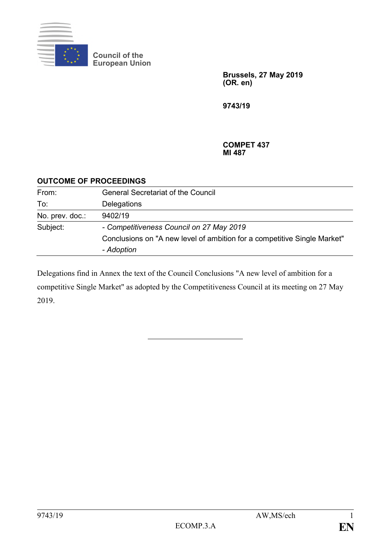

**Council of the European Union**

> **Brussels, 27 May 2019 (OR. en)**

**9743/19**

**COMPET 437 MI 487**

## **OUTCOME OF PROCEEDINGS**

| From:           | <b>General Secretariat of the Council</b>                                |
|-----------------|--------------------------------------------------------------------------|
| To:             | Delegations                                                              |
| No. prev. doc.: | 9402/19                                                                  |
| Subject:        | - Competitiveness Council on 27 May 2019                                 |
|                 | Conclusions on "A new level of ambition for a competitive Single Market" |
|                 | - Adoption                                                               |

Delegations find in Annex the text of the Council Conclusions "A new level of ambition for a competitive Single Market" as adopted by the Competitiveness Council at its meeting on 27 May 2019.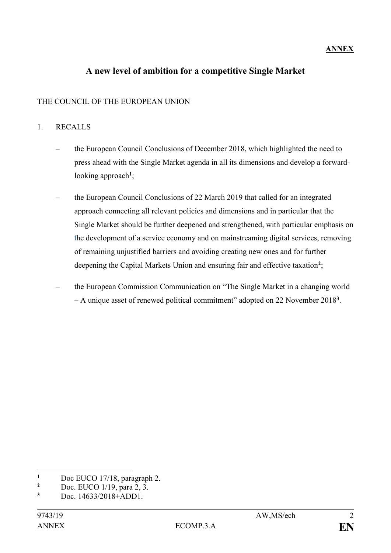## **ANNEX**

# **A new level of ambition for a competitive Single Market**

## THE COUNCIL OF THE EUROPEAN UNION

#### 1. RECALLS

- the European Council Conclusions of December 2018, which highlighted the need to press ahead with the Single Market agenda in all its dimensions and develop a forwardlooking approach**<sup>1</sup>** ;
- the European Council Conclusions of 22 March 2019 that called for an integrated approach connecting all relevant policies and dimensions and in particular that the Single Market should be further deepened and strengthened, with particular emphasis on the development of a service economy and on mainstreaming digital services, removing of remaining unjustified barriers and avoiding creating new ones and for further deepening the Capital Markets Union and ensuring fair and effective taxation**<sup>2</sup>** ;
- the European Commission Communication on "The Single Market in a changing world – A unique asset of renewed political commitment" adopted on 22 November 2018**<sup>3</sup>** .

<u>.</u>

<sup>&</sup>lt;sup>1</sup> Doc EUCO 17/18, paragraph 2.<br><sup>2</sup> Doc EUCO 1/10, para <sup>2</sup>.<sup>2</sup>

<sup>&</sup>lt;sup>2</sup> Doc. EUCO 1/19, para 2, 3.<br>
Doc.  $\frac{14632/2019+4 \text{ DD1}}{2}$ 

**<sup>3</sup>** Doc. 14633/2018+ADD1.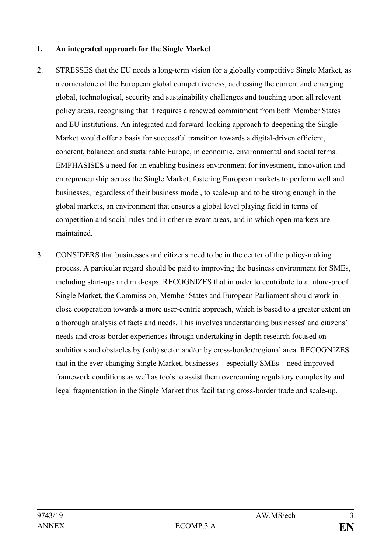#### **I. An integrated approach for the Single Market**

- 2. STRESSES that the EU needs a long-term vision for a globally competitive Single Market, as a cornerstone of the European global competitiveness, addressing the current and emerging global, technological, security and sustainability challenges and touching upon all relevant policy areas, recognising that it requires a renewed commitment from both Member States and EU institutions. An integrated and forward-looking approach to deepening the Single Market would offer a basis for successful transition towards a digital-driven efficient, coherent, balanced and sustainable Europe, in economic, environmental and social terms. EMPHASISES a need for an enabling business environment for investment, innovation and entrepreneurship across the Single Market, fostering European markets to perform well and businesses, regardless of their business model, to scale-up and to be strong enough in the global markets, an environment that ensures a global level playing field in terms of competition and social rules and in other relevant areas, and in which open markets are maintained.
- 3. CONSIDERS that businesses and citizens need to be in the center of the policy-making process. A particular regard should be paid to improving the business environment for SMEs, including start-ups and mid-caps. RECOGNIZES that in order to contribute to a future-proof Single Market, the Commission, Member States and European Parliament should work in close cooperation towards a more user-centric approach, which is based to a greater extent on a thorough analysis of facts and needs. This involves understanding businesses' and citizens' needs and cross-border experiences through undertaking in-depth research focused on ambitions and obstacles by (sub) sector and/or by cross-border/regional area. RECOGNIZES that in the ever-changing Single Market, businesses – especially SMEs – need improved framework conditions as well as tools to assist them overcoming regulatory complexity and legal fragmentation in the Single Market thus facilitating cross-border trade and scale-up.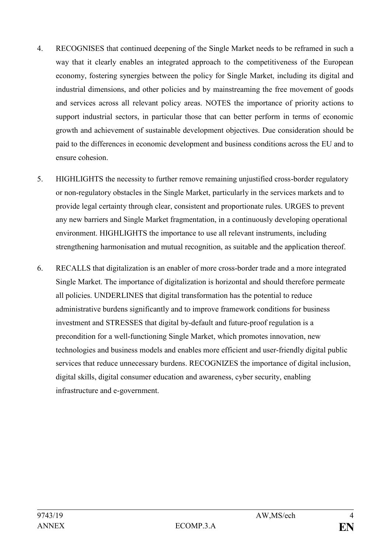- 4. RECOGNISES that continued deepening of the Single Market needs to be reframed in such a way that it clearly enables an integrated approach to the competitiveness of the European economy, fostering synergies between the policy for Single Market, including its digital and industrial dimensions, and other policies and by mainstreaming the free movement of goods and services across all relevant policy areas. NOTES the importance of priority actions to support industrial sectors, in particular those that can better perform in terms of economic growth and achievement of sustainable development objectives. Due consideration should be paid to the differences in economic development and business conditions across the EU and to ensure cohesion.
- 5. HIGHLIGHTS the necessity to further remove remaining unjustified cross-border regulatory or non-regulatory obstacles in the Single Market, particularly in the services markets and to provide legal certainty through clear, consistent and proportionate rules. URGES to prevent any new barriers and Single Market fragmentation, in a continuously developing operational environment. HIGHLIGHTS the importance to use all relevant instruments, including strengthening harmonisation and mutual recognition, as suitable and the application thereof.
- 6. RECALLS that digitalization is an enabler of more cross-border trade and a more integrated Single Market. The importance of digitalization is horizontal and should therefore permeate all policies. UNDERLINES that digital transformation has the potential to reduce administrative burdens significantly and to improve framework conditions for business investment and STRESSES that digital by-default and future-proof regulation is a precondition for a well-functioning Single Market, which promotes innovation, new technologies and business models and enables more efficient and user-friendly digital public services that reduce unnecessary burdens. RECOGNIZES the importance of digital inclusion, digital skills, digital consumer education and awareness, cyber security, enabling infrastructure and e-government.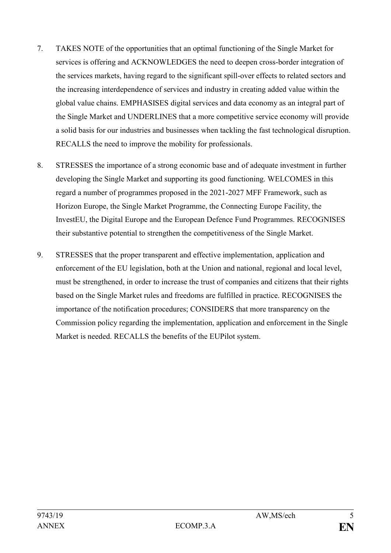- 7. TAKES NOTE of the opportunities that an optimal functioning of the Single Market for services is offering and ACKNOWLEDGES the need to deepen cross-border integration of the services markets, having regard to the significant spill-over effects to related sectors and the increasing interdependence of services and industry in creating added value within the global value chains. EMPHASISES digital services and data economy as an integral part of the Single Market and UNDERLINES that a more competitive service economy will provide a solid basis for our industries and businesses when tackling the fast technological disruption. RECALLS the need to improve the mobility for professionals.
- 8. STRESSES the importance of a strong economic base and of adequate investment in further developing the Single Market and supporting its good functioning. WELCOMES in this regard a number of programmes proposed in the 2021-2027 MFF Framework, such as Horizon Europe, the Single Market Programme, the Connecting Europe Facility, the InvestEU, the Digital Europe and the European Defence Fund Programmes. RECOGNISES their substantive potential to strengthen the competitiveness of the Single Market.
- 9. STRESSES that the proper transparent and effective implementation, application and enforcement of the EU legislation, both at the Union and national, regional and local level, must be strengthened, in order to increase the trust of companies and citizens that their rights based on the Single Market rules and freedoms are fulfilled in practice. RECOGNISES the importance of the notification procedures; CONSIDERS that more transparency on the Commission policy regarding the implementation, application and enforcement in the Single Market is needed. RECALLS the benefits of the EUPilot system.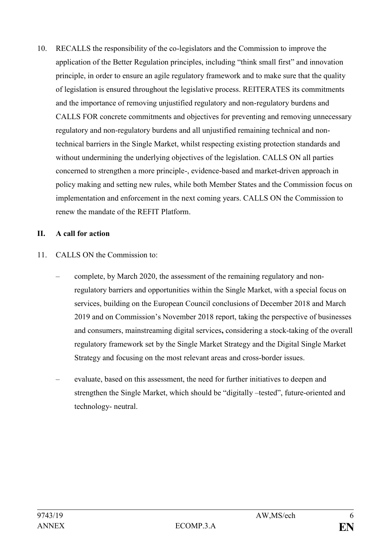10. RECALLS the responsibility of the co-legislators and the Commission to improve the application of the Better Regulation principles, including "think small first" and innovation principle, in order to ensure an agile regulatory framework and to make sure that the quality of legislation is ensured throughout the legislative process. REITERATES its commitments and the importance of removing unjustified regulatory and non-regulatory burdens and CALLS FOR concrete commitments and objectives for preventing and removing unnecessary regulatory and non-regulatory burdens and all unjustified remaining technical and nontechnical barriers in the Single Market, whilst respecting existing protection standards and without undermining the underlying objectives of the legislation. CALLS ON all parties concerned to strengthen a more principle-, evidence-based and market-driven approach in policy making and setting new rules, while both Member States and the Commission focus on implementation and enforcement in the next coming years. CALLS ON the Commission to renew the mandate of the REFIT Platform.

#### **II. A call for action**

# 11. CALLS ON the Commission to:

- complete, by March 2020, the assessment of the remaining regulatory and nonregulatory barriers and opportunities within the Single Market, with a special focus on services, building on the European Council conclusions of December 2018 and March 2019 and on Commission's November 2018 report, taking the perspective of businesses and consumers, mainstreaming digital services**,** considering a stock-taking of the overall regulatory framework set by the Single Market Strategy and the Digital Single Market Strategy and focusing on the most relevant areas and cross-border issues.
- evaluate, based on this assessment, the need for further initiatives to deepen and strengthen the Single Market, which should be "digitally –tested", future-oriented and technology- neutral.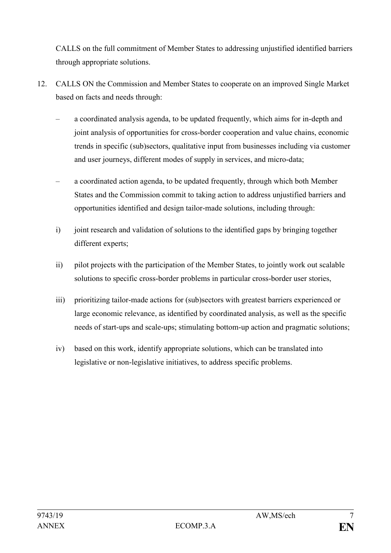CALLS on the full commitment of Member States to addressing unjustified identified barriers through appropriate solutions.

- 12. CALLS ON the Commission and Member States to cooperate on an improved Single Market based on facts and needs through:
	- a coordinated analysis agenda, to be updated frequently, which aims for in-depth and joint analysis of opportunities for cross-border cooperation and value chains, economic trends in specific (sub)sectors, qualitative input from businesses including via customer and user journeys, different modes of supply in services, and micro-data;
	- a coordinated action agenda, to be updated frequently, through which both Member States and the Commission commit to taking action to address unjustified barriers and opportunities identified and design tailor-made solutions, including through:
	- i) joint research and validation of solutions to the identified gaps by bringing together different experts;
	- ii) pilot projects with the participation of the Member States, to jointly work out scalable solutions to specific cross-border problems in particular cross-border user stories,
	- iii) prioritizing tailor-made actions for (sub)sectors with greatest barriers experienced or large economic relevance, as identified by coordinated analysis, as well as the specific needs of start-ups and scale-ups; stimulating bottom-up action and pragmatic solutions;
	- iv) based on this work, identify appropriate solutions, which can be translated into legislative or non-legislative initiatives, to address specific problems.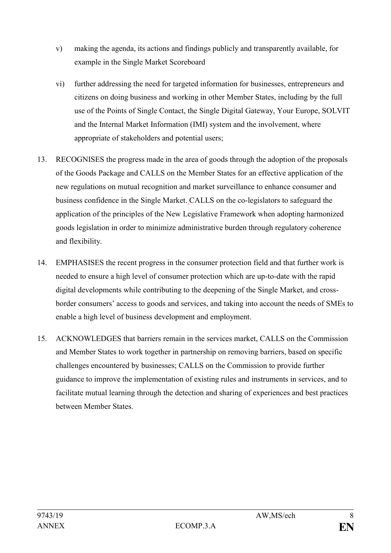- v) making the agenda, its actions and findings publicly and transparently available, for example in the Single Market Scoreboard
- vi) further addressing the need for targeted information for businesses, entrepreneurs and citizens on doing business and working in other Member States, including by the full use of the Points of Single Contact, the Single Digital Gateway, Your Europe, SOLVIT and the Internal Market Information (IMI) system and the involvement, where appropriate of stakeholders and potential users;
- 13. RECOGNISES the progress made in the area of goods through the adoption of the proposals of the Goods Package and CALLS on the Member States for an effective application of the new regulations on mutual recognition and market surveillance to enhance consumer and business confidence in the Single Market. CALLS on the co-legislators to safeguard the application of the principles of the New Legislative Framework when adopting harmonized goods legislation in order to minimize administrative burden through regulatory coherence and flexibility.
- 14. EMPHASISES the recent progress in the consumer protection field and that further work is needed to ensure a high level of consumer protection which are up-to-date with the rapid digital developments while contributing to the deepening of the Single Market, and crossborder consumers' access to goods and services, and taking into account the needs of SMEs to enable a high level of business development and employment.
- 15. ACKNOWLEDGES that barriers remain in the services market, CALLS on the Commission and Member States to work together in partnership on removing barriers, based on specific challenges encountered by businesses; CALLS on the Commission to provide further guidance to improve the implementation of existing rules and instruments in services, and to facilitate mutual learning through the detection and sharing of experiences and best practices between Member States.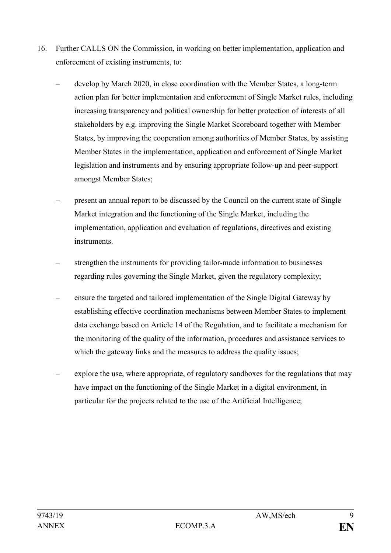- 16. Further CALLS ON the Commission, in working on better implementation, application and enforcement of existing instruments, to:
	- develop by March 2020, in close coordination with the Member States, a long-term action plan for better implementation and enforcement of Single Market rules, including increasing transparency and political ownership for better protection of interests of all stakeholders by e.g. improving the Single Market Scoreboard together with Member States, by improving the cooperation among authorities of Member States, by assisting Member States in the implementation, application and enforcement of Single Market legislation and instruments and by ensuring appropriate follow-up and peer-support amongst Member States;
	- present an annual report to be discussed by the Council on the current state of Single Market integration and the functioning of the Single Market, including the implementation, application and evaluation of regulations, directives and existing instruments.
	- strengthen the instruments for providing tailor-made information to businesses regarding rules governing the Single Market, given the regulatory complexity;
	- ensure the targeted and tailored implementation of the Single Digital Gateway by establishing effective coordination mechanisms between Member States to implement data exchange based on Article 14 of the Regulation, and to facilitate a mechanism for the monitoring of the quality of the information, procedures and assistance services to which the gateway links and the measures to address the quality issues;
	- explore the use, where appropriate, of regulatory sandboxes for the regulations that may have impact on the functioning of the Single Market in a digital environment, in particular for the projects related to the use of the Artificial Intelligence;